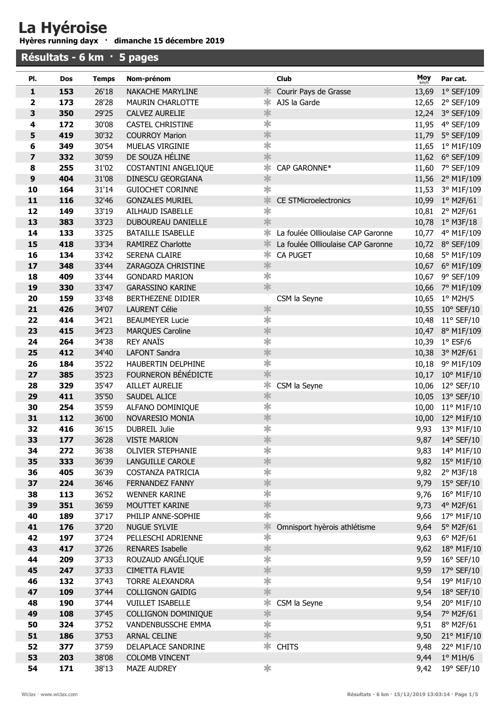## La Hyéroise

Hyères running dayx · dimanche 15 décembre 2019

| Résultats - 6 km · 5 pages |            |                |                                     |                         |                                    |                |                                   |
|----------------------------|------------|----------------|-------------------------------------|-------------------------|------------------------------------|----------------|-----------------------------------|
| PI.                        | Dos        | <b>Temps</b>   | Nom-prénom                          |                         | <b>Club</b>                        | Moy            | Par cat.                          |
| $\mathbf{1}$               | 153        | 26'18          | NAKACHE MARYLINE                    | ∗                       | Courir Pays de Grasse              | 13,69          | $1°$ SEF/109                      |
| $\mathbf{2}$               | 173        | 28'28          | <b>MAURIN CHARLOTTE</b>             | ∗                       | AJS la Garde                       | 12,65          | 2° SEF/109                        |
| 3                          | 350        | 29'25          | <b>CALVEZ AURELIE</b>               | $\ast$                  |                                    |                | 12,24 3° SEF/109                  |
| 4                          | 172        | 30'08          | <b>CASTEL CHRISTINE</b>             | $\overline{\textbf{r}}$ |                                    | 11,95          | 4° SEF/109                        |
| 5                          | 419        | 30'32          | <b>COURROY Marion</b>               | $\frac{1}{2}$           |                                    | 11,79          | 5° SEF/109                        |
| 6                          | 349        | 30'54          | MUELAS VIRGINIE                     | $\overline{\textbf{r}}$ |                                    | 11,65          | 1° M1F/109                        |
| $\overline{\mathbf{z}}$    | 332        | 30'59          | DE SOUZA HÉLINE                     | $\frac{1}{2}$           |                                    | 11,62          | $6^{\circ}$ SEF/109               |
| 8                          | 255        | 31'02          | <b>COSTANTINI ANGELIQUE</b>         | $\ast$                  | CAP GARONNE*                       | 11,60          | 7° SEF/109                        |
| $\boldsymbol{9}$           | 404        | 31'08          | DINESCU GEORGIANA                   | $\ast$                  |                                    | 11,56          | 2° M1F/109                        |
| 10                         | 164        | 31'14          | <b>GUIOCHET CORINNE</b>             | $\overline{\textbf{r}}$ |                                    | 11,53          | 3° M1F/109                        |
| 11                         | 116        | 32'46          | <b>GONZALES MURIEL</b>              | *                       | <b>CE STMicroelectronics</b>       | 10,99          | $1°$ M2F/61                       |
| 12                         | 149        | 33'19          | AILHAUD ISABELLE                    | $\ast$                  |                                    | 10,81          | 2° M2F/61                         |
| 13                         | 383        | 33'23          | DUBOUREAU DANIELLE                  | $\ast$                  |                                    | 10,78          | $1°$ M3F/18                       |
| 14                         | 133        | 33'25          | <b>BATAILLE ISABELLE</b>            | ∗                       | La foulée Olllioulaise CAP Garonne | 10,77          | 4° M1F/109                        |
| 15                         | 418        | 33'34          | <b>RAMIREZ Charlotte</b>            | ∗                       | La foulée Olllioulaise CAP Garonne |                | 10,72 8° SEF/109                  |
| 16                         | 134        | 33'42          | <b>SERENA CLAIRE</b>                | $\ast$                  | <b>CA PUGET</b>                    | 10,68          | 5° M1F/109                        |
| 17                         | 348        | 33'44          | ZARAGOZA CHRISTINE                  | $\ast$                  |                                    |                | 10,67 6° M1F/109                  |
| 18                         | 409        | 33'44          | <b>GONDARD MARION</b>               | $\ast$                  |                                    | 10,67          | 9° SEF/109                        |
| 19                         | 330        | 33'47          | <b>GARASSINO KARINE</b>             | *                       |                                    | 10,66          | 7° M1F/109                        |
| 20                         | 159        | 33'48          | BERTHEZENE DIDIER                   |                         | CSM la Seyne                       | 10,65          | $1^\circ$ M2H/5                   |
| 21                         | 426        | 34'07          | <b>LAURENT Célie</b>                | $\ast$                  |                                    | 10,55          | $10^{\circ}$ SEF/10               |
| 22                         | 414        | 34'21          | <b>BEAUMEYER Lucie</b>              | $\ast$                  |                                    | 10,48          | $11^{\circ}$ SEF/10               |
| 23                         | 415        | 34'23          | <b>MARQUES Caroline</b>             | $\ast$                  |                                    |                | 10,47 8° M1F/109                  |
| 24                         | 264        | 34'38          | <b>REY ANAÏS</b>                    | $\overline{\textbf{r}}$ |                                    | 10,39          | $1°$ ESF/6                        |
| 25                         | 412        | 34'40          | <b>LAFONT Sandra</b>                | $\ast$                  |                                    | 10,38          | 3° M2F/61                         |
| 26                         | 184        | 35'22          | HAUBERTIN DELPHINE                  | $\overline{\textbf{r}}$ |                                    | 10,18          | 9° M1F/109                        |
| 27                         | 385        | 35'23          | FOURNERON BÉNÉDICTE                 | 氺                       |                                    | 10,17          | 10° M1F/10                        |
| 28                         | 329        | 35'47          | <b>AILLET AURELIE</b>               | $\ast$<br>$\ast$        | CSM la Seyne                       | 10,06          | 12° SEF/10                        |
| 29                         | 411<br>254 | 35'50<br>35'59 | SAUDEL ALICE                        | $\overline{\textbf{r}}$ |                                    | 10,05<br>10,00 | $13^{\circ}$ SEF/10               |
| 30<br>31                   | 112        | 36'00          | ALFANO DOMINIQUE<br>NOVARESIO MONIA | $\ast$                  |                                    | 10,00          | 11° M1F/10<br>$12^{\circ}$ M1F/10 |
| 32                         | 416        | 36'15          | DUBREIL Julie                       | ∗                       |                                    | 9,93           | 13° M1F/10                        |
| 33                         | 177        | 36'28          | <b>VISTE MARION</b>                 | $\ast$                  |                                    | 9,87           | 14° SEF/10                        |
| 34                         | 272        | 36'38          | <b>OLIVIER STEPHANIE</b>            | $\ast$                  |                                    | 9,83           | 14° M1F/10                        |
| 35                         | 333        | 36'39          | LANGUILLE CAROLE                    | $\ast$                  |                                    | 9,82           | 15° M1F/10                        |
| 36                         | 405        | 36'39          | COSTANZA PATRICIA                   | $\overline{\textbf{r}}$ |                                    | 9,82           | 2° M3F/18                         |
| 37                         | 224        | 36'46          | FERNANDEZ FANNY                     | $\ast$                  |                                    | 9,79           | $15^{\circ}$ SEF/10               |
| 38                         | 113        | 36'52          | <b>WENNER KARINE</b>                | $\overline{\textbf{r}}$ |                                    | 9,76           | 16° M1F/10                        |
| 39                         | 351        | 36'59          | MOUTTET KARINE                      | $\ast$                  |                                    | 9,73           | $4^{\circ}$ M2F/61                |
| 40                         | 189        | 37'17          | PHILIP ANNE-SOPHIE                  | $\overline{\textbf{r}}$ |                                    | 9,66           | 17° M1F/10                        |
| 41                         | 176        | 37'20          | NUGUE SYLVIE                        | $\ast$                  | Omnisport hyèrois athlétisme       | 9,64           | 5° M2F/61                         |
| 42                         | 197        | 37'24          | PELLESCHI ADRIENNE                  | $\ast$                  |                                    | 9,63           | $6^{\circ}$ M2F/61                |
| 43                         | 417        | 37'26          | <b>RENARES Isabelle</b>             | $\ast$                  |                                    | 9,62           | 18° M1F/10                        |
| 44                         | 209        | 37'33          | ROUZAUD ANGÉLIQUE                   | $\overline{\textbf{r}}$ |                                    | 9,59           | 16° SEF/10                        |
| 45                         | 247        | 37'33          | <b>CIMETTA FLAVIE</b>               | $\ast$                  |                                    | 9,59           | 17° SEF/10                        |
| 46                         | 132        | 37'43          | <b>TORRE ALEXANDRA</b>              | $\ast$                  |                                    | 9,54           | 19° M1F/10                        |
| 47                         | 109        | 37'44          | <b>COLLIGNON GAIDIG</b>             | *                       |                                    | 9,54           | 18° SEF/10                        |
| 48                         | 190        | 37'44          | <b>VUILLET ISABELLE</b>             | $\ast$                  | CSM la Seyne                       | 9,54           | 20° M1F/10                        |
| 49                         | 108        | 37'45          | COLLIGNON DOMINIQUE                 | $\ast$                  |                                    | 9,54           | 7° M2F/61                         |
| 50                         | 324        | 37'52          | VANDENBUSSCHE EMMA                  | $\ast$                  |                                    | 9,51           | 8° M2F/61                         |
| 51                         | 186        | 37'53          | ARNAL CELINE                        | $\ast$                  |                                    | 9,50           | 21° M1F/10                        |
| 52                         | 377        | 37'59          | DELAPLACE SANDRINE                  | $\ast$                  | <b>CHITS</b>                       | 9,48           | 22° M1F/10                        |
| 53                         | 203        | 38'08          | <b>COLOMB VINCENT</b>               |                         |                                    | 9,44           | $1^\circ$ M1H/6                   |
| 54                         | 171        | 38'13          | <b>MAZE AUDREY</b>                  | $\ddot{\ast}$           |                                    | 9,42           | 19° SEF/10                        |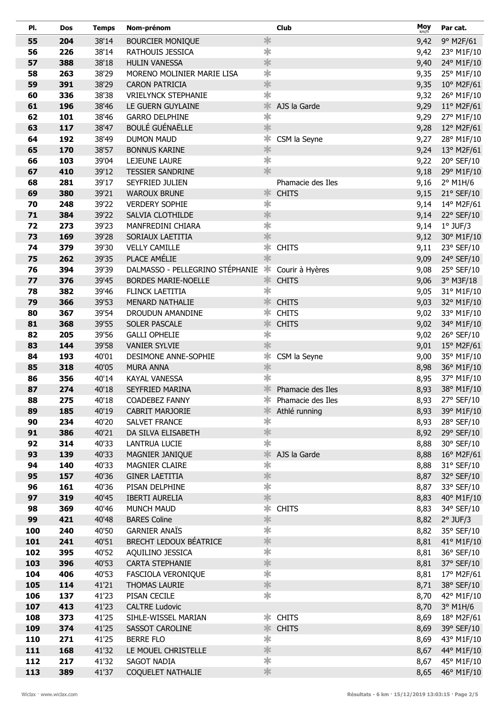| PI.      | Dos        | <b>Temps</b>   | Nom-prénom                               |                         | <b>Club</b>       | Moy<br>km/h  | Par cat.                 |
|----------|------------|----------------|------------------------------------------|-------------------------|-------------------|--------------|--------------------------|
| 55       | 204        | 38'14          | <b>BOURCIER MONIQUE</b>                  | $\ast$                  |                   | 9,42         | $9^{\circ}$ M2F/61       |
| 56       | 226        | 38'14          | RATHOUIS JESSICA                         | $\ast$                  |                   | 9,42         | 23° M1F/10               |
| 57       | 388        | 38'18          | <b>HULIN VANESSA</b>                     | $\ast$                  |                   | 9,40         | 24° M1F/10               |
| 58       | 263        | 38'29          | MORENO MOLINIER MARIE LISA               | $\overline{\textbf{r}}$ |                   | 9,35         | 25° M1F/10               |
| 59       | 391        | 38'29          | <b>CARON PATRICIA</b>                    | $\frac{1}{2}$           |                   | 9,35         | 10° M2F/61               |
| 60       | 336        | 38'38          | <b>VRIELYNCK STEPHANIE</b>               | $\ast$                  |                   | 9,32         | 26° M1F/10               |
| 61       | 196        | 38'46          | LE GUERN GUYLAINE                        | $\ast$                  | AJS la Garde      | 9,29         | $11^{\circ}$ M2F/61      |
| 62       | 101        | 38'46          | <b>GARRO DELPHINE</b>                    | $\ast$                  |                   | 9,29         | 27° M1F/10               |
| 63       | 117        | 38'47          | <b>BOULÉ GUÉNAËLLE</b>                   | $\ast$                  |                   | 9,28         | 12° M2F/61               |
| 64       | 192        | 38'49          | <b>DUMON MAUD</b>                        | $\ast$                  | CSM la Seyne      | 9,27         | 28° M1F/10               |
| 65       | 170        | 38'57          | <b>BONNUS KARINE</b>                     | $\ast$                  |                   | 9,24         | 13° M2F/61               |
| 66       | 103        | 39'04          | LEJEUNE LAURE                            | $\overline{\textbf{r}}$ |                   | 9,22         | 20° SEF/10               |
| 67       | 410        | 39'12          | <b>TESSIER SANDRINE</b>                  | *                       |                   | 9,18         | 29° M1F/10               |
| 68       | 281        | 39'17          | SEYFRIED JULIEN                          |                         | Phamacie des Iles | 9,16         | $2^{\circ}$ M1H/6        |
| 69       | 380        | 39'21          | <b>WAROUX BRUNE</b>                      | $\ast$                  | <b>CHITS</b>      | 9,15         | 21° SEF/10               |
| 70       | 248        | 39'22          | <b>VERDERY SOPHIE</b>                    | $\ast$                  |                   | 9,14         | 14° M2F/61               |
| 71       | 384        | 39'22          | SALVIA CLOTHILDE                         | $\ast$                  |                   | 9,14         | 22° SEF/10               |
| 72       | 273        | 39'23          | MANFREDINI CHIARA                        | $\ast$                  |                   | 9,14         | $1°$ JUF/3               |
| 73       | 169        | 39'28          | SORIAUX LAETITIA                         | $\ast$                  |                   | 9,12         | 30° M1F/10               |
| 74       | 379        | 39'30          | <b>VELLY CAMILLE</b>                     | $\ast$                  | <b>CHITS</b>      | 9,11         | 23° SEF/10               |
| 75       | 262        | 39'35          | PLACE AMÉLIE                             | $\ast$                  |                   | 9,09         | 24° SEF/10               |
| 76       | 394        | 39'39          | DALMASSO - PELLEGRINO STÉPHANIE          | $\ast$                  | Courir à Hyères   | 9,08         | 25° SEF/10               |
| 77       | 376        | 39'45          | <b>BORDES MARIE-NOELLE</b>               | 氺                       | <b>CHITS</b>      | 9,06         | 3° M3F/18                |
| 78       | 382        | 39'46          | FLINCK LAETITIA                          | $\ast$                  |                   | 9,05         | 31° M1F/10               |
| 79       | 366        | 39'53          | MENARD NATHALIE                          | 氺                       | <b>CHITS</b>      | 9,03         | 32° M1F/10               |
| 80       | 367        | 39'54          | DROUDUN AMANDINE                         | ∗                       | <b>CHITS</b>      | 9,02         | 33° M1F/10               |
| 81       | 368        | 39'55          | SOLER PASCALE                            | $\ast$                  | <b>CHITS</b>      | 9,02         | 34° M1F/10               |
| 82       | 205        | 39'56          | <b>GALLI OPHELIE</b>                     | $\ast$<br>$\ast$        |                   | 9,02         | 26° SEF/10               |
| 83       | 144        | 39'58          | <b>VANIER SYLVIE</b>                     | ∗                       |                   | 9,01         | 15° M2F/61               |
| 84       | 193        | 40'01          | DESIMONE ANNE-SOPHIE<br><b>MURA ANNA</b> | $\ast$                  | CSM la Seyne      | 9,00         | 35° M1F/10<br>36° M1F/10 |
| 85<br>86 | 318<br>356 | 40'05<br>40'14 | KAYAL VANESSA                            | $\ast$                  |                   | 8,98<br>8,95 | 37° M1F/10               |
| 87       | 274        | 40'18          | SEYFRIED MARINA                          | $\ast$                  | Phamacie des Iles | 8,93         | 38° M1F/10               |
| 88       | 275        | 40'18          | COADEBEZ FANNY                           | $\ast$                  | Phamacie des Iles | 8,93         | 27° SEF/10               |
| 89       | 185        | 40'19          | CABRIT MARJORIE                          | ∗                       | Athlé running     | 8,93         | 39° M1F/10               |
| 90       | 234        | 40'20          | SALVET FRANCE                            | $\ast$                  |                   | 8,93         | 28° SEF/10               |
| 91       | 386        | 40'21          | DA SILVA ELISABETH                       | $\ast$                  |                   | 8,92         | 29° SEF/10               |
| 92       | 314        | 40'33          | LANTRUA LUCIE                            | $\ast$                  |                   | 8,88         | 30° SEF/10               |
| 93       | 139        | 40'33          | MAGNIER JANIQUE                          | *                       | AJS la Garde      | 8,88         | $16^{\circ}$ M2F/61      |
| 94       | 140        | 40'33          | MAGNIER CLAIRE                           | $\overline{\textbf{r}}$ |                   | 8,88         | 31° SEF/10               |
| 95       | 157        | 40'36          | <b>GINER LAETITIA</b>                    | $\ast$                  |                   | 8,87         | 32° SEF/10               |
| 96       | 161        | 40'36          | PISAN DELPHINE                           | $\overline{\textbf{r}}$ |                   | 8,87         | 33° SEF/10               |
| 97       | 319        | 40'45          | <b>IBERTI AURELIA</b>                    | $\frac{1}{2}$           |                   | 8,83         | 40° M1F/10               |
| 98       | 369        | 40'46          | <b>MUNCH MAUD</b>                        | $\ast$                  | <b>CHITS</b>      | 8,83         | 34° SEF/10               |
| 99       | 421        | 40'48          | <b>BARES Coline</b>                      | $\ast$                  |                   | 8,82         | $2^{\circ}$ JUF/3        |
| 100      | 240        | 40'50          | <b>GARNIER ANAÏS</b>                     | $\overline{\textbf{r}}$ |                   | 8,82         | 35° SEF/10               |
| 101      | 241        | 40'51          | <b>BRECHT LEDOUX BÉATRICE</b>            | $\ast$                  |                   | 8,81         | 41° M1F/10               |
| 102      | 395        | 40'52          | AQUILINO JESSICA                         | $\ast$                  |                   | 8,81         | 36° SEF/10               |
| 103      | 396        | 40'53          | CARTA STEPHANIE                          | $\ast$                  |                   | 8,81         | 37° SEF/10               |
| 104      | 406        | 40'53          | FASCIOLA VERONIQUE                       | $\ast$                  |                   | 8,81         | 17° M2F/61               |
| 105      | 114        | 41'21          | THOMAS LAURIE                            | $\ast$                  |                   | 8,71         | 38° SEF/10               |
| 106      | 137        | 41'23          | PISAN CECILE                             | $\ast$                  |                   | 8,70         | 42° M1F/10               |
| 107      | 413        | 41'23          | <b>CALTRE Ludovic</b>                    |                         |                   | 8,70         | $3°$ M1H/6               |
| 108      | 373        | 41'25          | SIHLE-WISSEL MARIAN                      | ∗                       | <b>CHITS</b>      | 8,69         | 18° M2F/61               |
| 109      | 374        | 41'25          | SASSOT CAROLINE                          | *                       | <b>CHITS</b>      | 8,69         | 39° SEF/10               |
| 110      | 271        | 41'25          | <b>BERRE FLO</b>                         | $\ast$                  |                   | 8,69         | 43° M1F/10               |
| 111      | 168        | 41'32          | LE MOUEL CHRISTELLE                      | $\ast$                  |                   | 8,67         | 44° M1F/10               |
| 112      | 217        | 41'32          | SAGOT NADIA                              | $\ast$                  |                   | 8,67         | 45° M1F/10               |
| 113      | 389        | 41'37          | COQUELET NATHALIE                        | $\ast$                  |                   | 8,65         | 46° M1F/10               |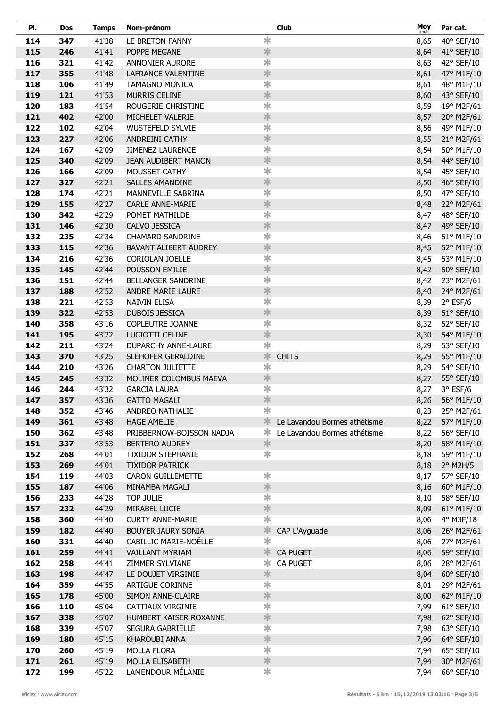| PI.        | <b>Dos</b> | <b>Temps</b>   | Nom-prénom                             |                         | <b>Club</b>                  | Moy<br>km/h  | Par cat.                 |
|------------|------------|----------------|----------------------------------------|-------------------------|------------------------------|--------------|--------------------------|
| 114        | 347        | 41'38          | LE BRETON FANNY                        | $\ast$                  |                              | 8,65         | 40° SEF/10               |
| 115        | 246        | 41'41          | POPPE MEGANE                           | $\ast$                  |                              | 8,64         | 41° SEF/10               |
| 116        | 321        | 41'42          | <b>ANNONIER AURORE</b>                 | $\overline{\textbf{r}}$ |                              | 8,63         | 42° SEF/10               |
| 117        | 355        | 41'48          | LAFRANCE VALENTINE                     | $\ast$                  |                              | 8,61         | 47° M1F/10               |
| 118        | 106        | 41'49          | <b>TAMAGNO MONICA</b>                  | $\overline{\textbf{r}}$ |                              | 8,61         | 48° M1F/10               |
| 119        | 121        | 41'53          | <b>MURRIS CELINE</b>                   | $\ast$                  |                              | 8,60         | 43° SEF/10               |
| 120        | 183        | 41'54          | ROUGERIE CHRISTINE                     | $\ast$                  |                              | 8,59         | 19° M2F/61               |
| 121        | 402        | 42'00          | MICHELET VALERIE                       | $\ast$                  |                              | 8,57         | 20° M2F/61               |
| 122        | 102        | 42'04          | <b>WUSTEFELD SYLVIE</b>                | $\overline{\textbf{r}}$ |                              | 8,56         | 49° M1F/10               |
| 123        | 227        | 42'06          | ANDREINI CATHY                         | $\ast$                  |                              | 8,55         | 21° M2F/61               |
| 124        | 167        | 42'09          | <b>JIMENEZ LAURENCE</b>                | $\ast$                  |                              | 8,54         | 50° M1F/10               |
| 125        | 340        | 42'09          | JEAN AUDIBERT MANON                    | $\ast$                  |                              | 8,54         | 44° SEF/10               |
| 126        | 166        | 42'09          | MOUSSET CATHY                          | $\ast$                  |                              | 8,54         | 45° SEF/10               |
| 127        | 327        | 42'21          | SALLES AMANDINE                        | $\ast$                  |                              | 8,50         | 46° SEF/10               |
| 128        | 174        | 42'21          | MANNEVILLE SABRINA                     | $\overline{\textbf{r}}$ |                              | 8,50         | 47° SEF/10               |
| 129        | 155        | 42'27          | <b>CARLE ANNE-MARIE</b>                | $\ast$                  |                              | 8,48         | 22° M2F/61               |
| 130        | 342        | 42'29          | POMET MATHILDE                         | $\overline{\textbf{r}}$ |                              | 8,47         | 48° SEF/10               |
| 131        | 146        | 42'30          | CALVO JESSICA                          | $\ast$                  |                              | 8,47         | 49° SEF/10               |
| 132        | 235        | 42'34          | <b>CHAMARD SANDRINE</b>                | $\ast$                  |                              | 8,46         | 51° M1F/10               |
| 133        | 115        | 42'36          | BAVANT ALIBERT AUDREY                  | $\ast$                  |                              | 8,45         | 52° M1F/10               |
| 134        | 216        | 42'36          | CORIOLAN JOËLLE                        | $\overline{\textbf{r}}$ |                              | 8,45         | 53° M1F/10               |
| 135        | 145        | 42'44          | POUSSON EMILIE                         | $\ast$                  |                              | 8,42         | 50° SEF/10               |
| 136        | 151        | 42'44          | BELLANGER SANDRINE                     | $\overline{\textbf{r}}$ |                              | 8,42         | 23° M2F/61               |
| 137        | 188        | 42'52          | ANDRE MARIE LAURE                      | $\ast$                  |                              | 8,40         | 24° M2F/61               |
| 138        | 221        | 42'53          | <b>NAIVIN ELISA</b>                    | $\ast$                  |                              | 8,39         | $2°$ ESF/6               |
| 139        | 322        | 42'53          | <b>DUBOIS JESSICA</b>                  | $\ast$                  |                              | 8,39         | $51^\circ$ SEF/10        |
| 140        | 358        | 43'16          | COPLEUTRE JOANNE                       | $\ast$<br>$\ast$        |                              | 8,32         | 52° SEF/10               |
| 141<br>142 | 195<br>211 | 43'22<br>43'24 | LUCIOTTI CELINE<br>DUPARCHY ANNE-LAURE | *                       |                              | 8,30         | 54° M1F/10<br>53° SEF/10 |
| 143        | 370        | 43'25          | SLEHOFER GERALDINE                     | $\ast$                  | <b>CHITS</b>                 | 8,29         |                          |
| 144        | 210        | 43'26          | <b>CHARTON JULIETTE</b>                | $\ast$                  |                              | 8,29<br>8,29 | 55° M1F/10<br>54° SEF/10 |
| 145        | 245        | 43'32          | MOLINER COLOMBUS MAEVA                 | $\ast$                  |                              | 8,27         | 55° SEF/10               |
| 146        | 244        | 43'32          | <b>GARCIA LAURA</b>                    | $\overline{\textbf{r}}$ |                              | 8,27         | $3°$ ESF/6               |
| 147        | 357        | 43'36          | <b>GATTO MAGALI</b>                    | $\ast$                  |                              |              | 8,26 56° M1F/10          |
| 148        | 352        | 43'46          | ANDREO NATHALIE                        | $\ast$                  |                              | 8,23         | 25° M2F/61               |
| 149        | 361        | 43'48          | <b>HAGE AMELIE</b>                     | 氺                       | Le Lavandou Bormes athétisme | 8,22         | 57° M1F/10               |
| 150        | 362        | 43'48          | PRIBBERNOW-BOISSON NADJA               | ∗                       | Le Lavandou Bormes athétisme | 8,22         | 56° SEF/10               |
| 151        | 337        | 43'53          | <b>BERTERO AUDREY</b>                  | $\ast$                  |                              | 8,20         | 58° M1F/10               |
| 152        | 268        | 44'01          | <b>TIXIDOR STEPHANIE</b>               | $\ast$                  |                              | 8,18         | 59° M1F/10               |
| 153        | 269        | 44'01          | <b>TIXIDOR PATRICK</b>                 |                         |                              | 8,18         | $2^{\circ}$ M2H/5        |
| 154        | 119        | 44'03          | <b>CARON GUILLEMETTE</b>               | $\ast$                  |                              | 8,17         | 57° SEF/10               |
| 155        | 187        | 44'06          | MINAMBA MAGALI                         | $\ast$                  |                              | 8,16         | 60° M1F/10               |
| 156        | 233        | 44'28          | <b>TOP JULIE</b>                       | $\overline{\textbf{r}}$ |                              | 8,10         | 58° SEF/10               |
| 157        | 232        | 44'29          | MIRABEL LUCIE                          | $\ast$                  |                              | 8,09         | 61° M1F/10               |
| 158        | 360        | 44'40          | <b>CURTY ANNE-MARIE</b>                | $\ast$                  |                              | 8,06         | 4° M3F/18                |
| 159        | 182        | 44'40          | <b>BOUYER JAURY SONIA</b>              | *                       | CAP L'Ayguade                | 8,06         | 26° M2F/61               |
| 160        | 331        | 44'40          | CABILLIC MARIE-NOËLLE                  | $\overline{\textbf{r}}$ |                              | 8,06         | 27° M2F/61               |
| 161        | 259        | 44'41          | VAILLANT MYRIAM                        | 氺                       | <b>CA PUGET</b>              | 8,06         | 59° SEF/10               |
| 162        | 258        | 44'41          | ZIMMER SYLVIANE                        | ∗                       | <b>CA PUGET</b>              | 8,06         | 28° M2F/61               |
| 163        | 198        | 44'47          | LE DOUJET VIRGINIE                     | $\ast$                  |                              | 8,04         | $60^\circ$ SEF/10        |
| 164        | 359        | 44'55          | <b>ARTIGUE CORINNE</b>                 | $\ast$                  |                              | 8,01         | 29° M2F/61               |
| 165        | 178        | 45'00          | SIMON ANNE-CLAIRE                      | $\ast$                  |                              | 8,00         | 62° M1F/10               |
| 166        | 110        | 45'04          | CATTIAUX VIRGINIE                      | $\overline{\textbf{r}}$ |                              | 7,99         | 61° SEF/10               |
| 167        | 338        | 45'07          | HUMBERT KAISER ROXANNE                 | $\ast$                  |                              | 7,98         | 62° SEF/10               |
| 168        | 339        | 45'07          | <b>SEGURA GABRIELLE</b>                | $\overline{\textbf{r}}$ |                              | 7,98         | 63° SEF/10               |
| 169        | 180        | 45'15          | KHAROUBI ANNA                          | $\ast$                  |                              | 7,96         | 64° SEF/10               |
| 170        | 260        | 45'19          | <b>MOLLA FLORA</b>                     | $\ast$                  |                              | 7,94         | 65° SEF/10               |
| 171        | 261        | 45'19          | MOLLA ELISABETH                        | *                       |                              | 7,94         | 30° M2F/61               |
| 172        | 199        | 45'22          | LAMENDOUR MÉLANIE                      | $\ast$                  |                              | 7,94         | 66° SEF/10               |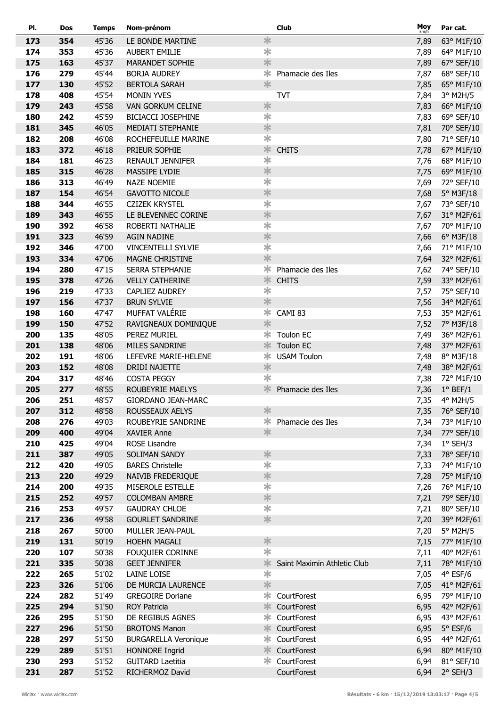| PI.        | <b>Dos</b> | <b>Temps</b>   | Nom-prénom                           |                         | <b>Club</b>                 | Moy<br>km/h  | Par cat.                |
|------------|------------|----------------|--------------------------------------|-------------------------|-----------------------------|--------------|-------------------------|
| 173        | 354        | 45'36          | LE BONDE MARTINE                     | $\ast$                  |                             | 7,89         | 63° M1F/10              |
| 174        | 353        | 45'36          | <b>AUBERT EMILIE</b>                 | $\ast$                  |                             | 7,89         | 64° M1F/10              |
| 175        | 163        | 45'37          | MARANDET SOPHIE                      | $\ast$                  |                             | 7,89         | 67° SEF/10              |
| 176        | 279        | 45'44          | <b>BORJA AUDREY</b>                  | *                       | Phamacie des Iles           | 7,87         | 68° SEF/10              |
| 177        | 130        | 45'52          | <b>BERTOLA SARAH</b>                 | *                       |                             | 7,85         | 65° M1F/10              |
| 178        | 408        | 45'54          | <b>MONIN YVES</b>                    |                         | <b>TVT</b>                  | 7,84         | 3° M2H/5                |
| 179        | 243        | 45'58          | VAN GORKUM CELINE                    | $\ast$                  |                             | 7,83         | 66° M1F/10              |
| 180        | 242        | 45'59          | <b>BICIACCI JOSEPHINE</b>            | $\ast$                  |                             | 7,83         | 69° SEF/10              |
| 181        | 345        | 46'05          | MEDIATI STEPHANIE                    | $\ast$                  |                             | 7,81         | 70° SEF/10              |
| 182        | 208        | 46'08          | ROCHEFEUILLE MARINE                  | $\ast$                  |                             | 7,80         | 71° SEF/10              |
| 183        | 372        | 46'18          | PRIEUR SOPHIE                        | *                       | <b>CHITS</b>                | 7,78         | 67° M1F/10              |
| 184        | 181        | 46'23          | <b>RENAULT JENNIFER</b>              | $\ast$                  |                             | 7,76         | 68° M1F/10              |
| 185        | 315        | 46'28          | MASSIPE LYDIE                        | $\ast$                  |                             | 7,75         | 69° M1F/10              |
| 186        | 313        | 46'49          | <b>NAZE NOEMIE</b>                   | $\ast$                  |                             | 7,69         | 72° SEF/10              |
| 187        | 154        | 46'54          | <b>GAVOTTO NICOLE</b>                | $\ast$                  |                             | 7,68         | $5^\circ$ M3F/18        |
| 188        | 344        | 46'55          | <b>CZIZEK KRYSTEL</b>                | $\overline{\textbf{r}}$ |                             | 7,67         | 73° SEF/10              |
| 189        | 343        | 46'55          | LE BLEVENNEC CORINE                  | $\ast$                  |                             | 7,67         | 31° M2F/61              |
| 190        | 392        | 46'58          | ROBERTI NATHALIE                     | $\overline{\textbf{r}}$ |                             | 7,67         | 70° M1F/10              |
| 191        | 323        | 46'59          | <b>AGIN NADINE</b>                   | $\ast$                  |                             | 7,66         | $6^{\circ}$ M3F/18      |
| 192        | 346        | 47'00          | <b>VINCENTELLI SYLVIE</b>            | $\ast$                  |                             | 7,66         | 71° M1F/10              |
| 193        | 334        | 47'06          | MAGNE CHRISTINE                      | $\ast$                  |                             | 7,64         | 32° M2F/61              |
| 194        | 280        | 47'15          | SERRA STEPHANIE                      | ∗                       | Phamacie des Iles           | 7,62         | 74° SEF/10              |
| 195        | 378        | 47'26          | <b>VELLY CATHERINE</b>               | ∗                       | <b>CHITS</b>                | 7,59         | 33° M2F/61              |
| 196        | 219        | 47'33          | CAPLIEZ AUDREY                       | $\ast$                  |                             | 7,57         | 75° SEF/10              |
| 197        | 156        | 47'37          | <b>BRUN SYLVIE</b>                   | $\ast$                  |                             | 7,56         | 34° M2F/61              |
| 198        | 160        | 47'47          | MUFFAT VALÉRIE                       | ∗<br>$\ast$             | CAMI 83                     | 7,53         | 35° M2F/61              |
| 199        | 150<br>135 | 47'52<br>48'05 | RAVIGNEAUX DOMINIQUE<br>PEREZ MURIEL | ∗                       | Toulon EC                   | 7,52         | 7° M3F/18               |
| 200<br>201 | 138        | 48'06          | MILES SANDRINE                       | 氺                       | Toulon EC                   | 7,49         | 36° M2F/61              |
| 202        | 191        | 48'06          | LEFEVRE MARIE-HELENE                 | ∗                       | <b>USAM Toulon</b>          | 7,48<br>7,48 | 37° M2F/61<br>8° M3F/18 |
| 203        | 152        | 48'08          | DRIDI NAJETTE                        | $\ast$                  |                             | 7,48         | 38° M2F/61              |
| 204        | 317        | 48'46          | <b>COSTA PEGGY</b>                   | $\ast$                  |                             | 7,38         | 72° M1F/10              |
| 205        | 277        | 48'55          | ROUBEYRIE MAELYS                     | 氺                       | Phamacie des Iles           | 7,36         | $1°$ BEF/1              |
| 206        | 251        | 48'57          | GIORDANO JEAN-MARC                   |                         |                             | 7,35         | 4° M2H/5                |
| 207        | 312        | 48'58          | ROUSSEAUX AELYS                      | *                       |                             | 7,35         | 76° SEF/10              |
| 208        | 276        | 49'03          | ROUBEYRIE SANDRINE                   | $\ast$                  | Phamacie des Iles           | 7,34         | 73° M1F/10              |
| 209        | 400        | 49'04          | <b>XAVIER Anne</b>                   | $\ast$                  |                             | 7,34         | 77° SEF/10              |
| 210        | 425        | 49'04          | <b>ROSE Lisandre</b>                 |                         |                             | 7,34         | $1°$ SEH/3              |
| 211        | 387        | 49'05          | SOLIMAN SANDY                        | $\ast$                  |                             | 7,33         | 78° SEF/10              |
| 212        | 420        | 49'05          | <b>BARES Christelle</b>              | 宇                       |                             | 7,33         | 74° M1F/10              |
| 213        | 220        | 49'29          | NAIVIB FREDERIQUE                    | $\ast$                  |                             | 7,28         | 75° M1F/10              |
| 214        | 200        | 49'35          | MISEROLE ESTELLE                     | *                       |                             | 7,26         | 76° M1F/10              |
| 215        | 252        | 49'57          | <b>COLOMBAN AMBRE</b>                | $\ast$                  |                             | 7,21         | 79° SEF/10              |
| 216        | 253        | 49'57          | <b>GAUDRAY CHLOE</b>                 | $\overline{\textbf{r}}$ |                             | 7,21         | 80° SEF/10              |
| 217        | 236        | 49'58          | <b>GOURLET SANDRINE</b>              | *                       |                             | 7,20         | 39° M2F/61              |
| 218        | 267        | 50'00          | MULLER JEAN-PAUL                     |                         |                             | 7,20         | $5^\circ$ M2H/5         |
| 219        | 131        | 50'19          | <b>HOEHN MAGALI</b>                  | $\ast$                  |                             | 7,15         | 77° M1F/10              |
| 220        | 107        | 50'38          | FOUQUIER CORINNE                     | $\ast$                  |                             | 7,11         | 40° M2F/61              |
| 221        | 335        | 50'38          | <b>GEET JENNIFER</b>                 | $\ast$                  | Saint Maximin Athletic Club | 7,11         | 78° M1F/10              |
| 222        | 265        | 51'02          | LAINE LOISE                          | $\ast$                  |                             | 7,05         | $4^{\circ}$ ESF/6       |
| 223        | 326        | 51'06          | DE MURCIA LAURENCE                   | 氺                       |                             | 7,05         | 41° M2F/61              |
| 224        | 282        | 51'49          | <b>GREGOIRE Doriane</b>              | $\ast$                  | CourtForest                 | 6,95         | 79° M1F/10              |
| 225        | 294        | 51'50          | <b>ROY Patricia</b>                  | 氺                       | CourtForest                 | 6,95         | 42° M2F/61              |
| 226        | 295        | 51'50          | DE REGIBUS AGNES                     | ∗                       | CourtForest                 | 6,95         | 43° M2F/61              |
| 227        | 296        | 51'50          | <b>BROTONS Manon</b>                 | 氺                       | CourtForest                 | 6,95         | $5^{\circ}$ ESF/6       |
| 228        | 297        | 51'50          | <b>BURGARELLA Veronique</b>          | ∗                       | CourtForest                 | 6,95         | 44° M2F/61              |
| 229        | 289        | 51'51          | HONNORE Ingrid                       | 氺                       | CourtForest                 | 6,94         | 80° M1F/10              |
| 230        | 293        | 51'52          | <b>GUITARD Laetitia</b>              | ∗                       | CourtForest                 | 6,94         | 81° SEF/10              |
| 231        | 287        | 51'52          | RICHERMOZ David                      |                         | CourtForest                 | 6,94         | 2° SEH/3                |